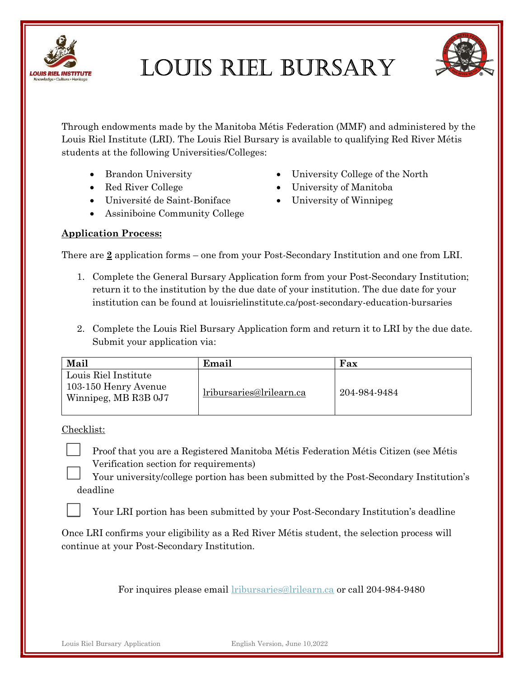

Louis RieL BuRsaRy



Through endowments made by the Manitoba Métis Federation (MMF) and administered by the Louis Riel Institute (LRI). The Louis Riel Bursary is available to qualifying Red River Métis students at the following Universities/Colleges:

- Brandon University
- Red River College
- Université de Saint-Boniface
- Assiniboine Community College
- University College of the North
- University of Manitoba
- University of Winnipeg

#### Application Process:

There are 2 application forms – one from your Post-Secondary Institution and one from LRI.

- 1. Complete the General Bursary Application form from your Post-Secondary Institution; return it to the institution by the due date of your institution. The due date for your institution can be found at louisrielinstitute.ca/post-secondary-education-bursaries
- 2. Complete the Louis Riel Bursary Application form and return it to LRI by the due date. Submit your application via:

| Mail                                                                 | Email                    | Fax          |
|----------------------------------------------------------------------|--------------------------|--------------|
| Louis Riel Institute<br>103-150 Henry Avenue<br>Winnipeg, MB R3B 0J7 | lribursaries@lrilearn.ca | 204-984-9484 |

Checklist:

Proof that you are a Registered Manitoba Métis Federation Métis Citizen (see Métis Verification section for requirements)

Your university/college portion has been submitted by the Post-Secondary Institution's deadline

Your LRI portion has been submitted by your Post-Secondary Institution's deadline

Once LRI confirms your eligibility as a Red River Métis student, the selection process will continue at your Post-Secondary Institution.

For inquires please email lribursaries@lrilearn.ca or call 204-984-9480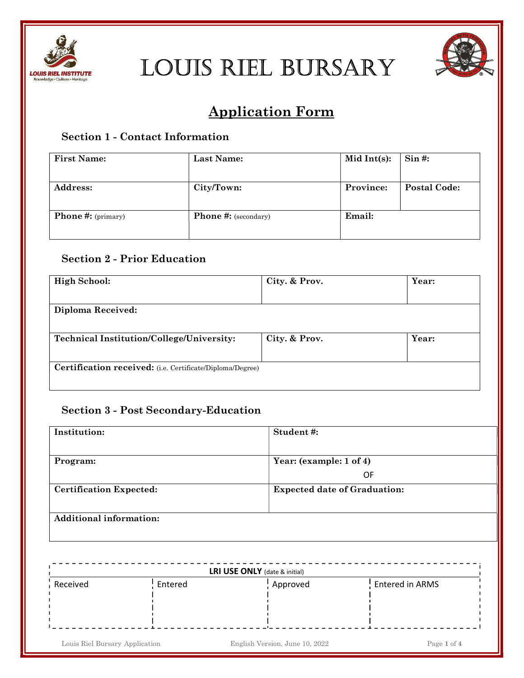



# Application Form

# Section 1 - Contact Information

| <b>First Name:</b>        | Last Name:                  | Mid Int(s): | $Sin$ #:            |
|---------------------------|-----------------------------|-------------|---------------------|
| <b>Address:</b>           | City/Town:                  | Province:   | <b>Postal Code:</b> |
| <b>Phone #:</b> (primary) | <b>Phone #:</b> (secondary) | Email:      |                     |

# Section 2 - Prior Education

| <b>High School:</b>                                              | City. & Prov. | Year: |
|------------------------------------------------------------------|---------------|-------|
| Diploma Received:                                                |               |       |
| <b>Technical Institution/College/University:</b>                 | City. & Prov. | Year: |
| <b>Certification received:</b> (i.e. Certificate/Diploma/Degree) |               |       |

### Section 3 - Post Secondary-Education

| Institution:                   | Student#:                           |
|--------------------------------|-------------------------------------|
|                                |                                     |
| Program:                       | Year: (example: 1 of 4)             |
|                                | 0F                                  |
| <b>Certification Expected:</b> | <b>Expected date of Graduation:</b> |
|                                |                                     |
| <b>Additional information:</b> |                                     |
|                                |                                     |

| Received | Entered | Approved | Entered in ARMS |
|----------|---------|----------|-----------------|
|          |         |          |                 |
|          |         |          |                 |
|          |         |          |                 |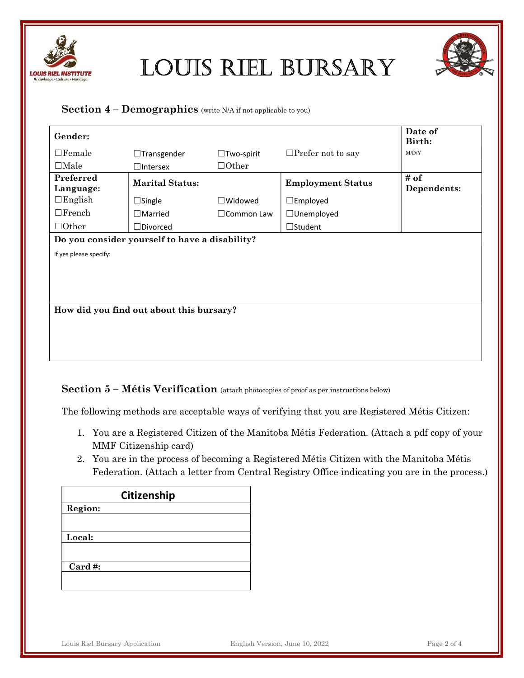



#### Section  $4$  – Demographics (write N/A if not applicable to you)

| Gender:                |                                                |                   |                          | Date of<br>Birth:   |
|------------------------|------------------------------------------------|-------------------|--------------------------|---------------------|
| $\Box$ Female          | $\Box$ Transgender                             | $\Box$ Two-spirit | $\Box$ Prefer not to say | M/D/Y               |
| $\Box$ Male            | $\Box$ Intersex                                | $\Box$ Other      |                          |                     |
| Preferred<br>Language: | <b>Marital Status:</b>                         |                   | <b>Employment Status</b> | # of<br>Dependents: |
| $\Box$ English         | $\Box$ Single                                  | $\Box$ Widowed    | $\square$ Employed       |                     |
| $\Box$ French          | $\Box$ Married                                 | $\Box$ Common Law | □Unemployed              |                     |
| $\Box$ Other           | $\Box$ Divorced                                |                   | $\Box$ Student           |                     |
|                        | Do you consider yourself to have a disability? |                   |                          |                     |
| If yes please specify: |                                                |                   |                          |                     |
|                        |                                                |                   |                          |                     |
|                        |                                                |                   |                          |                     |
|                        |                                                |                   |                          |                     |
|                        | How did you find out about this bursary?       |                   |                          |                     |
|                        |                                                |                   |                          |                     |
|                        |                                                |                   |                          |                     |
|                        |                                                |                   |                          |                     |
|                        |                                                |                   |                          |                     |

#### Section 5 – Métis Verification (attach photocopies of proof as per instructions below)

The following methods are acceptable ways of verifying that you are Registered Métis Citizen:

- 1. You are a Registered Citizen of the Manitoba Métis Federation. (Attach a pdf copy of your MMF Citizenship card)
- 2. You are in the process of becoming a Registered Métis Citizen with the Manitoba Métis Federation. (Attach a letter from Central Registry Office indicating you are in the process.)

| Citizenship |  |  |
|-------------|--|--|
| Region:     |  |  |
|             |  |  |
| Local:      |  |  |
|             |  |  |
|             |  |  |
| Card#:      |  |  |
|             |  |  |
|             |  |  |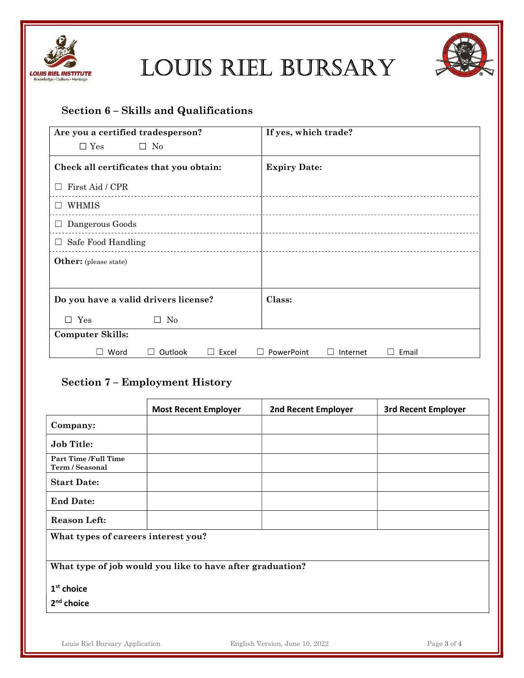



## Section 6 – Skills and Qualifications

| Are you a certified tradesperson?        | If yes, which trade?                            |
|------------------------------------------|-------------------------------------------------|
| $\Box$ Yes<br>$\Box$ No                  |                                                 |
| Check all certificates that you obtain:  | <b>Expiry Date:</b>                             |
| First Aid / CPR                          |                                                 |
| WHMIS                                    |                                                 |
| $\Box$ Dangerous Goods                   |                                                 |
| Safe Food Handling<br>$\Box$<br><u>.</u> |                                                 |
| Other: (please state)                    |                                                 |
|                                          |                                                 |
| Do you have a valid drivers license?     | Class:                                          |
| $\square$ Yes<br>$\Box$ No               |                                                 |
| <b>Computer Skills:</b>                  |                                                 |
| Word<br>Outlook<br>Excel<br>$\mathbf{I}$ | PowerPoint<br>Internet<br>Email<br>L<br>$\perp$ |

## Section 7 – Employment History

|                                                           | <b>Most Recent Employer</b> | 2nd Recent Employer | <b>3rd Recent Employer</b> |
|-----------------------------------------------------------|-----------------------------|---------------------|----------------------------|
| Company:                                                  |                             |                     |                            |
| <b>Job Title:</b>                                         |                             |                     |                            |
| <b>Part Time /Full Time</b><br>Term / Seasonal            |                             |                     |                            |
| <b>Start Date:</b>                                        |                             |                     |                            |
| <b>End Date:</b>                                          |                             |                     |                            |
| <b>Reason Left:</b>                                       |                             |                     |                            |
| What types of careers interest you?                       |                             |                     |                            |
| What type of job would you like to have after graduation? |                             |                     |                            |
| $1st$ choice                                              |                             |                     |                            |
| 2 <sup>nd</sup> choice                                    |                             |                     |                            |
|                                                           |                             |                     |                            |